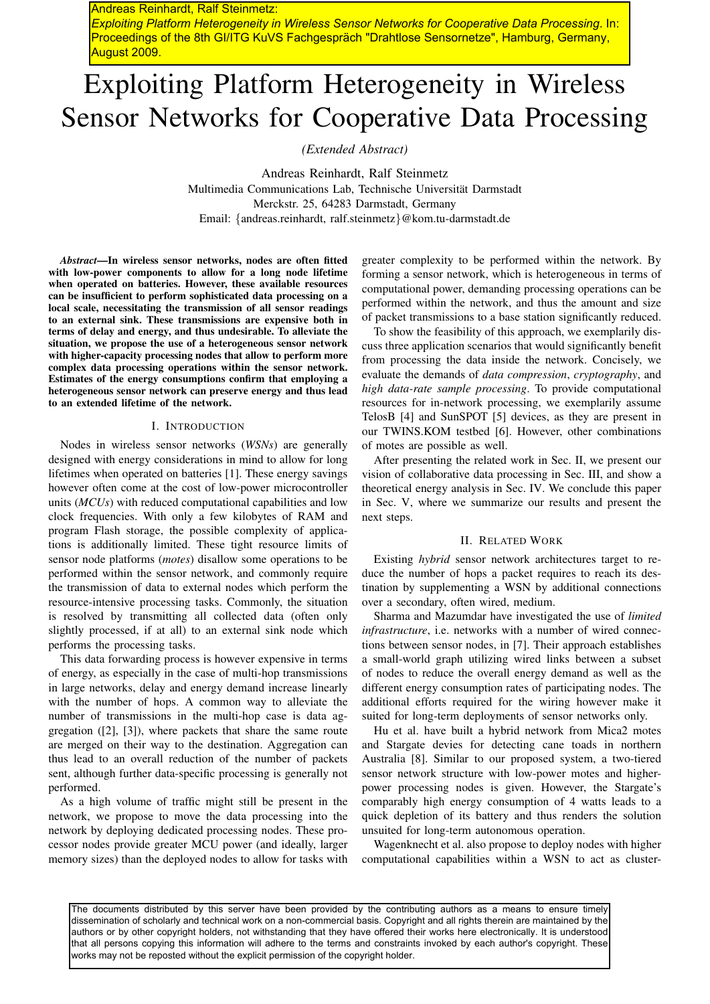Andreas Reinhardt, Ralf Steinmetz: *Exploiting Platform Heterogeneity in Wireless Sensor Networks for Cooperative Data Processing*. In: Proceedings of the 8th GI/ITG KuVS Fachgespräch "Drahtlose Sensornetze", Hamburg, Germany, August 2009.

# Exploiting Platform Heterogeneity in Wireless Sensor Networks for Cooperative Data Processing

*(Extended Abstract)*

Andreas Reinhardt, Ralf Steinmetz Multimedia Communications Lab, Technische Universitat Darmstadt ¨ Merckstr. 25, 64283 Darmstadt, Germany Email: {andreas.reinhardt, ralf.steinmetz}@kom.tu-darmstadt.de

*Abstract*—In wireless sensor networks, nodes are often fitted with low-power components to allow for a long node lifetime when operated on batteries. However, these available resources can be insufficient to perform sophisticated data processing on a local scale, necessitating the transmission of all sensor readings to an external sink. These transmissions are expensive both in terms of delay and energy, and thus undesirable. To alleviate the situation, we propose the use of a heterogeneous sensor network with higher-capacity processing nodes that allow to perform more complex data processing operations within the sensor network. Estimates of the energy consumptions confirm that employing a heterogeneous sensor network can preserve energy and thus lead to an extended lifetime of the network.

#### I. INTRODUCTION

Nodes in wireless sensor networks (*WSNs*) are generally designed with energy considerations in mind to allow for long lifetimes when operated on batteries [1]. These energy savings however often come at the cost of low-power microcontroller units (*MCUs*) with reduced computational capabilities and low clock frequencies. With only a few kilobytes of RAM and program Flash storage, the possible complexity of applications is additionally limited. These tight resource limits of sensor node platforms (*motes*) disallow some operations to be performed within the sensor network, and commonly require the transmission of data to external nodes which perform the resource-intensive processing tasks. Commonly, the situation is resolved by transmitting all collected data (often only slightly processed, if at all) to an external sink node which performs the processing tasks.

This data forwarding process is however expensive in terms of energy, as especially in the case of multi-hop transmissions in large networks, delay and energy demand increase linearly with the number of hops. A common way to alleviate the number of transmissions in the multi-hop case is data aggregation ([2], [3]), where packets that share the same route are merged on their way to the destination. Aggregation can thus lead to an overall reduction of the number of packets sent, although further data-specific processing is generally not performed.

As a high volume of traffic might still be present in the network, we propose to move the data processing into the network by deploying dedicated processing nodes. These processor nodes provide greater MCU power (and ideally, larger memory sizes) than the deployed nodes to allow for tasks with

greater complexity to be performed within the network. By forming a sensor network, which is heterogeneous in terms of computational power, demanding processing operations can be performed within the network, and thus the amount and size of packet transmissions to a base station significantly reduced.

To show the feasibility of this approach, we exemplarily discuss three application scenarios that would significantly benefit from processing the data inside the network. Concisely, we evaluate the demands of *data compression*, *cryptography*, and *high data-rate sample processing*. To provide computational resources for in-network processing, we exemplarily assume TelosB [4] and SunSPOT [5] devices, as they are present in our TWINS.KOM testbed [6]. However, other combinations of motes are possible as well.

After presenting the related work in Sec. II, we present our vision of collaborative data processing in Sec. III, and show a theoretical energy analysis in Sec. IV. We conclude this paper in Sec. V, where we summarize our results and present the next steps.

## II. RELATED WORK

Existing *hybrid* sensor network architectures target to reduce the number of hops a packet requires to reach its destination by supplementing a WSN by additional connections over a secondary, often wired, medium.

Sharma and Mazumdar have investigated the use of *limited infrastructure*, i.e. networks with a number of wired connections between sensor nodes, in [7]. Their approach establishes a small-world graph utilizing wired links between a subset of nodes to reduce the overall energy demand as well as the different energy consumption rates of participating nodes. The additional efforts required for the wiring however make it suited for long-term deployments of sensor networks only.

Hu et al. have built a hybrid network from Mica2 motes and Stargate devies for detecting cane toads in northern Australia [8]. Similar to our proposed system, a two-tiered sensor network structure with low-power motes and higherpower processing nodes is given. However, the Stargate's comparably high energy consumption of 4 watts leads to a quick depletion of its battery and thus renders the solution unsuited for long-term autonomous operation.

Wagenknecht et al. also propose to deploy nodes with higher computational capabilities within a WSN to act as cluster-

The documents distributed by this server have been provided by the contributing authors as a means to ensure timely dissemination of scholarly and technical work on a non-commercial basis. Copyright and all rights therein are maintained by the authors or by other copyright holders, not withstanding that they have offered their works here electronically. It is understood that all persons copying this information will adhere to the terms and constraints invoked by each author's copyright. These works may not be reposted without the explicit permission of the copyright holder.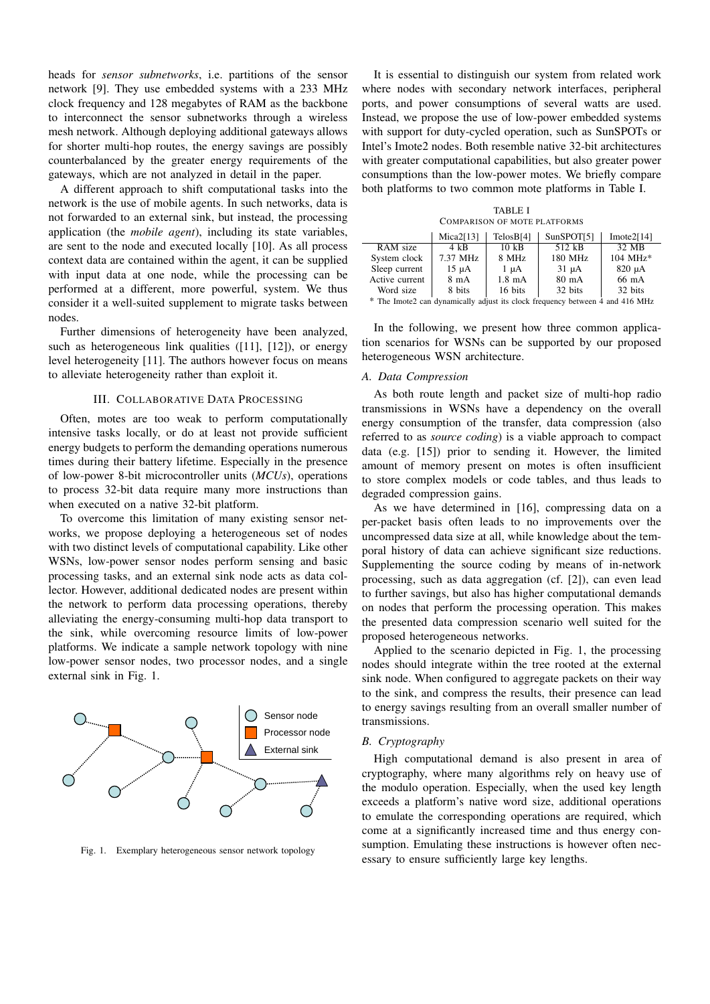heads for *sensor subnetworks*, i.e. partitions of the sensor network [9]. They use embedded systems with a 233 MHz clock frequency and 128 megabytes of RAM as the backbone to interconnect the sensor subnetworks through a wireless mesh network. Although deploying additional gateways allows for shorter multi-hop routes, the energy savings are possibly counterbalanced by the greater energy requirements of the gateways, which are not analyzed in detail in the paper.

A different approach to shift computational tasks into the network is the use of mobile agents. In such networks, data is not forwarded to an external sink, but instead, the processing application (the *mobile agent*), including its state variables, are sent to the node and executed locally [10]. As all process context data are contained within the agent, it can be supplied with input data at one node, while the processing can be performed at a different, more powerful, system. We thus consider it a well-suited supplement to migrate tasks between nodes.

Further dimensions of heterogeneity have been analyzed, such as heterogeneous link qualities ([11], [12]), or energy level heterogeneity [11]. The authors however focus on means to alleviate heterogeneity rather than exploit it.

# III. COLLABORATIVE DATA PROCESSING

Often, motes are too weak to perform computationally intensive tasks locally, or do at least not provide sufficient energy budgets to perform the demanding operations numerous times during their battery lifetime. Especially in the presence of low-power 8-bit microcontroller units (*MCUs*), operations to process 32-bit data require many more instructions than when executed on a native 32-bit platform.

To overcome this limitation of many existing sensor networks, we propose deploying a heterogeneous set of nodes with two distinct levels of computational capability. Like other WSNs, low-power sensor nodes perform sensing and basic processing tasks, and an external sink node acts as data collector. However, additional dedicated nodes are present within the network to perform data processing operations, thereby alleviating the energy-consuming multi-hop data transport to the sink, while overcoming resource limits of low-power platforms. We indicate a sample network topology with nine low-power sensor nodes, two processor nodes, and a single external sink in Fig. 1.



Fig. 1. Exemplary heterogeneous sensor network topology

It is essential to distinguish our system from related work where nodes with secondary network interfaces, peripheral ports, and power consumptions of several watts are used. Instead, we propose the use of low-power embedded systems with support for duty-cycled operation, such as SunSPOTs or Intel's Imote2 nodes. Both resemble native 32-bit architectures with greater computational capabilities, but also greater power consumptions than the low-power motes. We briefly compare both platforms to two common mote platforms in Table I.

TABLE I COMPARISON OF MOTE PLATFORMS

|                | Mica2[13]      | TelosB <sub>[4]</sub> | SunSPOT[5] | Imote $2[14]$       |
|----------------|----------------|-----------------------|------------|---------------------|
| RAM size       | 4 kB           | $10 \text{ kB}$       | 512 kB     | 32 MB               |
| System clock   | 7.37 MHz       | 8 MHz                 | 180 MHz    | $104 \text{ MHz}$ * |
| Sleep current  | $15 \mu A$     | $1 \mu A$             | $31 \mu A$ | $820 \mu A$         |
| Active current | $8 \text{ mA}$ | $1.8$ mA              | 80 mA      | 66 mA               |
| Word size      | 8 bits         | 16 bits               | 32 bits    | 32 bits             |

\* The Imote2 can dynamically adjust its clock frequency between 4 and 416 MHz

In the following, we present how three common application scenarios for WSNs can be supported by our proposed heterogeneous WSN architecture.

### *A. Data Compression*

As both route length and packet size of multi-hop radio transmissions in WSNs have a dependency on the overall energy consumption of the transfer, data compression (also referred to as *source coding*) is a viable approach to compact data (e.g. [15]) prior to sending it. However, the limited amount of memory present on motes is often insufficient to store complex models or code tables, and thus leads to degraded compression gains.

As we have determined in [16], compressing data on a per-packet basis often leads to no improvements over the uncompressed data size at all, while knowledge about the temporal history of data can achieve significant size reductions. Supplementing the source coding by means of in-network processing, such as data aggregation (cf. [2]), can even lead to further savings, but also has higher computational demands on nodes that perform the processing operation. This makes the presented data compression scenario well suited for the proposed heterogeneous networks.

Applied to the scenario depicted in Fig. 1, the processing nodes should integrate within the tree rooted at the external sink node. When configured to aggregate packets on their way to the sink, and compress the results, their presence can lead to energy savings resulting from an overall smaller number of transmissions.

### *B. Cryptography*

High computational demand is also present in area of cryptography, where many algorithms rely on heavy use of the modulo operation. Especially, when the used key length exceeds a platform's native word size, additional operations to emulate the corresponding operations are required, which come at a significantly increased time and thus energy consumption. Emulating these instructions is however often necessary to ensure sufficiently large key lengths.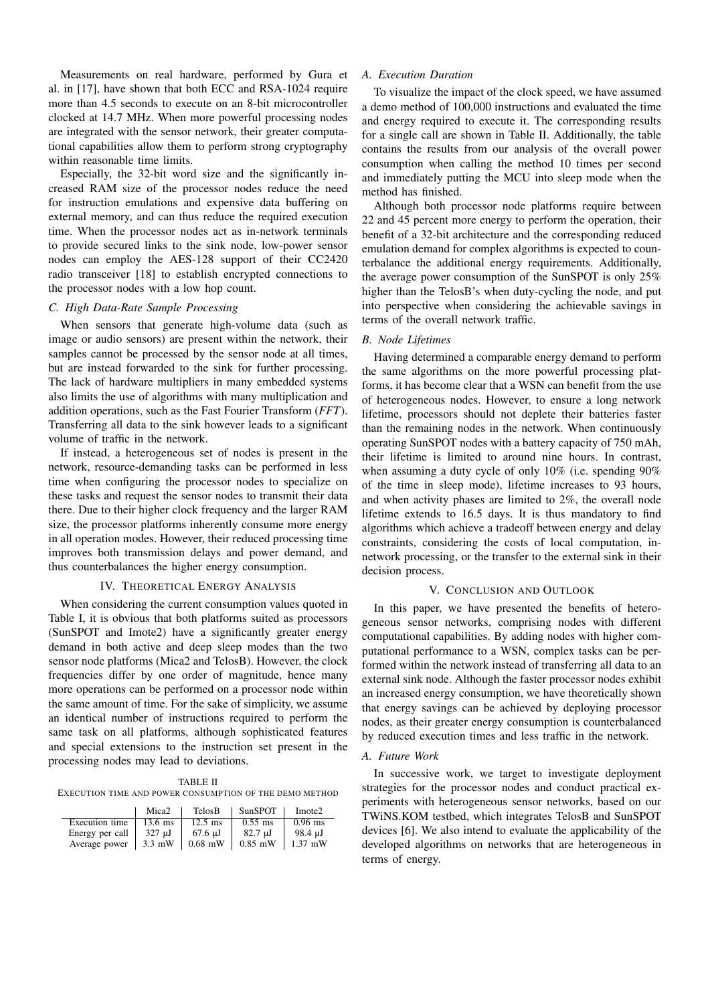Measurements on real hardware, performed by Gura et al. in [17], have shown that both ECC and RSA-1024 require more than 4.5 seconds to execute on an 8-bit microcontroller clocked at 14.7 MHz. When more powerful processing nodes are integrated with the sensor network, their greater computational capabilities allow them to perform strong cryptography within reasonable time limits.

Especially, the 32-bit word size and the significantly increased RAM size of the processor nodes reduce the need for instruction emulations and expensive data buffering on external memory, and can thus reduce the required execution time. When the processor nodes act as in-network terminals to provide secured links to the sink node, low-power sensor nodes can employ the AES-128 support of their CC2420 radio transceiver [18] to establish encrypted connections to the processor nodes with a low hop count.

# *C. High Data-Rate Sample Processing*

When sensors that generate high-volume data (such as image or audio sensors) are present within the network, their samples cannot be processed by the sensor node at all times, but are instead forwarded to the sink for further processing. The lack of hardware multipliers in many embedded systems also limits the use of algorithms with many multiplication and addition operations, such as the Fast Fourier Transform (*FFT*). Transferring all data to the sink however leads to a significant volume of traffic in the network.

If instead, a heterogeneous set of nodes is present in the network, resource-demanding tasks can be performed in less time when configuring the processor nodes to specialize on these tasks and request the sensor nodes to transmit their data there. Due to their higher clock frequency and the larger RAM size, the processor platforms inherently consume more energy in all operation modes. However, their reduced processing time improves both transmission delays and power demand, and thus counterbalances the higher energy consumption.

## IV. THEORETICAL ENERGY ANALYSIS

When considering the current consumption values quoted in Table I, it is obvious that both platforms suited as processors (SunSPOT and Imote2) have a significantly greater energy demand in both active and deep sleep modes than the two sensor node platforms (Mica2 and TelosB). However, the clock frequencies differ by one order of magnitude, hence many more operations can be performed on a processor node within the same amount of time. For the sake of simplicity, we assume an identical number of instructions required to perform the same task on all platforms, although sophisticated features and special extensions to the instruction set present in the processing nodes may lead to deviations.

TABLE II EXECUTION TIME AND POWER CONSUMPTION OF THE DEMO METHOD

|                 | Mica <sub>2</sub> | TelosB            | SunSPOT           | Imote <sub>2</sub> |
|-----------------|-------------------|-------------------|-------------------|--------------------|
| Execution time  | $13.6$ ms         | $12.5$ ms         | $0.55$ ms         | $0.96$ ms          |
| Energy per call | $327 \mathrm{uJ}$ | $67.6 \text{ uJ}$ | $82.7 \text{ uJ}$ | 98.4 uJ            |
| Average power   | $3.3$ mW          | $0.68$ mW         | $0.85$ mW         | $1.37$ mW          |

# *A. Execution Duration*

To visualize the impact of the clock speed, we have assumed a demo method of 100,000 instructions and evaluated the time and energy required to execute it. The corresponding results for a single call are shown in Table II. Additionally, the table contains the results from our analysis of the overall power consumption when calling the method 10 times per second and immediately putting the MCU into sleep mode when the method has finished.

Although both processor node platforms require between 22 and 45 percent more energy to perform the operation, their benefit of a 32-bit architecture and the corresponding reduced emulation demand for complex algorithms is expected to counterbalance the additional energy requirements. Additionally, the average power consumption of the SunSPOT is only 25% higher than the TelosB's when duty-cycling the node, and put into perspective when considering the achievable savings in terms of the overall network traffic.

# *B. Node Lifetimes*

Having determined a comparable energy demand to perform the same algorithms on the more powerful processing platforms, it has become clear that a WSN can benefit from the use of heterogeneous nodes. However, to ensure a long network lifetime, processors should not deplete their batteries faster than the remaining nodes in the network. When continuously operating SunSPOT nodes with a battery capacity of 750 mAh, their lifetime is limited to around nine hours. In contrast, when assuming a duty cycle of only 10% (i.e. spending 90% of the time in sleep mode), lifetime increases to 93 hours, and when activity phases are limited to 2%, the overall node lifetime extends to 16.5 days. It is thus mandatory to find algorithms which achieve a tradeoff between energy and delay constraints, considering the costs of local computation, innetwork processing, or the transfer to the external sink in their decision process.

#### V. CONCLUSION AND OUTLOOK

In this paper, we have presented the benefits of heterogeneous sensor networks, comprising nodes with different computational capabilities. By adding nodes with higher computational performance to a WSN, complex tasks can be performed within the network instead of transferring all data to an external sink node. Although the faster processor nodes exhibit an increased energy consumption, we have theoretically shown that energy savings can be achieved by deploying processor nodes, as their greater energy consumption is counterbalanced by reduced execution times and less traffic in the network.

## *A. Future Work*

In successive work, we target to investigate deployment strategies for the processor nodes and conduct practical experiments with heterogeneous sensor networks, based on our TWiNS.KOM testbed, which integrates TelosB and SunSPOT devices [6]. We also intend to evaluate the applicability of the developed algorithms on networks that are heterogeneous in terms of energy.